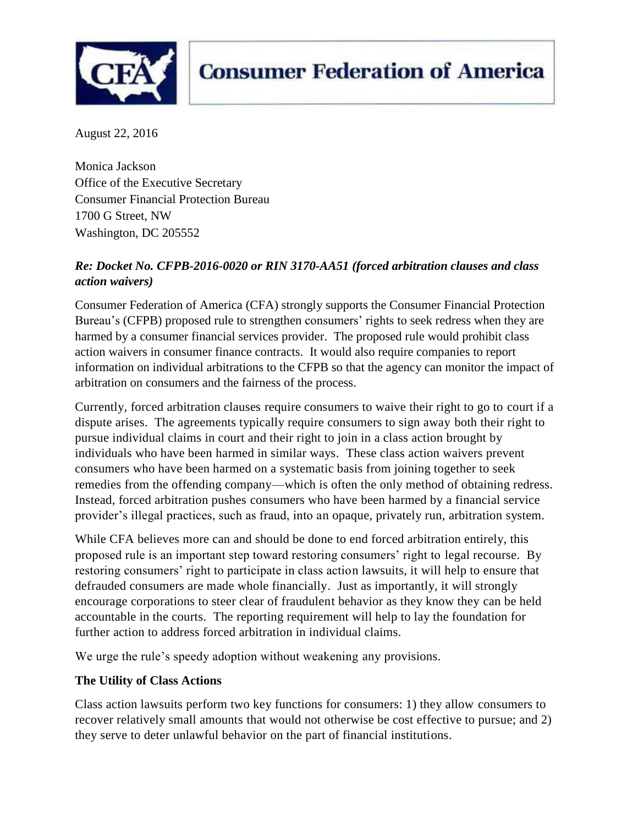

# **Consumer Federation of America**

August 22, 2016

Monica Jackson Office of the Executive Secretary Consumer Financial Protection Bureau 1700 G Street, NW Washington, DC 205552

## *Re: Docket No. CFPB-2016-0020 or RIN 3170-AA51 (forced arbitration clauses and class action waivers)*

Consumer Federation of America (CFA) strongly supports the Consumer Financial Protection Bureau's (CFPB) proposed rule to strengthen consumers' rights to seek redress when they are harmed by a consumer financial services provider. The proposed rule would prohibit class action waivers in consumer finance contracts. It would also require companies to report information on individual arbitrations to the CFPB so that the agency can monitor the impact of arbitration on consumers and the fairness of the process.

Currently, forced arbitration clauses require consumers to waive their right to go to court if a dispute arises. The agreements typically require consumers to sign away both their right to pursue individual claims in court and their right to join in a class action brought by individuals who have been harmed in similar ways. These class action waivers prevent consumers who have been harmed on a systematic basis from joining together to seek remedies from the offending company—which is often the only method of obtaining redress. Instead, forced arbitration pushes consumers who have been harmed by a financial service provider's illegal practices, such as fraud, into an opaque, privately run, arbitration system.

While CFA believes more can and should be done to end forced arbitration entirely, this proposed rule is an important step toward restoring consumers' right to legal recourse. By restoring consumers' right to participate in class action lawsuits, it will help to ensure that defrauded consumers are made whole financially. Just as importantly, it will strongly encourage corporations to steer clear of fraudulent behavior as they know they can be held accountable in the courts. The reporting requirement will help to lay the foundation for further action to address forced arbitration in individual claims.

We urge the rule's speedy adoption without weakening any provisions.

## **The Utility of Class Actions**

Class action lawsuits perform two key functions for consumers: 1) they allow consumers to recover relatively small amounts that would not otherwise be cost effective to pursue; and 2) they serve to deter unlawful behavior on the part of financial institutions.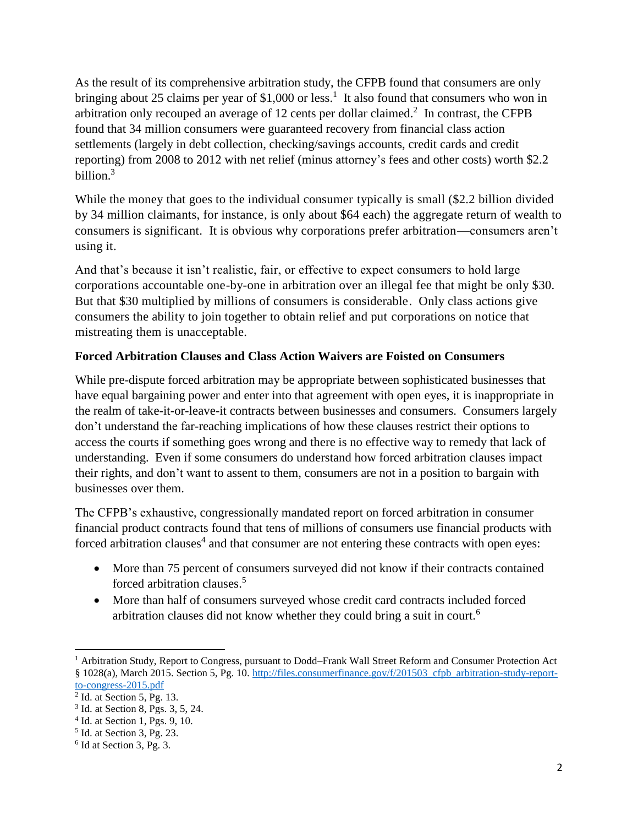As the result of its comprehensive arbitration study, the CFPB found that consumers are only bringing about 25 claims per year of \$1,000 or less.<sup>1</sup> It also found that consumers who won in arbitration only recouped an average of 12 cents per dollar claimed.<sup>2</sup> In contrast, the CFPB found that 34 million consumers were guaranteed recovery from financial class action settlements (largely in debt collection, checking/savings accounts, credit cards and credit reporting) from 2008 to 2012 with net relief (minus attorney's fees and other costs) worth \$2.2 billion.<sup>3</sup>

While the money that goes to the individual consumer typically is small (\$2.2 billion divided by 34 million claimants, for instance, is only about \$64 each) the aggregate return of wealth to consumers is significant. It is obvious why corporations prefer arbitration—consumers aren't using it.

And that's because it isn't realistic, fair, or effective to expect consumers to hold large corporations accountable one-by-one in arbitration over an illegal fee that might be only \$30. But that \$30 multiplied by millions of consumers is considerable. Only class actions give consumers the ability to join together to obtain relief and put corporations on notice that mistreating them is unacceptable.

#### **Forced Arbitration Clauses and Class Action Waivers are Foisted on Consumers**

While pre-dispute forced arbitration may be appropriate between sophisticated businesses that have equal bargaining power and enter into that agreement with open eyes, it is inappropriate in the realm of take-it-or-leave-it contracts between businesses and consumers. Consumers largely don't understand the far-reaching implications of how these clauses restrict their options to access the courts if something goes wrong and there is no effective way to remedy that lack of understanding. Even if some consumers do understand how forced arbitration clauses impact their rights, and don't want to assent to them, consumers are not in a position to bargain with businesses over them.

The CFPB's exhaustive, congressionally mandated report on forced arbitration in consumer financial product contracts found that tens of millions of consumers use financial products with forced arbitration clauses<sup>4</sup> and that consumer are not entering these contracts with open eyes:

- More than 75 percent of consumers surveyed did not know if their contracts contained forced arbitration clauses.<sup>5</sup>
- More than half of consumers surveyed whose credit card contracts included forced arbitration clauses did not know whether they could bring a suit in court.<sup>6</sup>

 $\overline{a}$ 

<sup>&</sup>lt;sup>1</sup> Arbitration Study, Report to Congress, pursuant to Dodd–Frank Wall Street Reform and Consumer Protection Act § 1028(a), March 2015. Section 5, Pg. 10. [http://files.consumerfinance.gov/f/201503\\_cfpb\\_arbitration-study-report](http://files.consumerfinance.gov/f/201503_cfpb_arbitration-study-report-to-congress-2015.pdf)[to-congress-2015.pdf](http://files.consumerfinance.gov/f/201503_cfpb_arbitration-study-report-to-congress-2015.pdf) 

<sup>2</sup> Id. at Section 5, Pg. 13.

<sup>3</sup> Id. at Section 8, Pgs. 3, 5, 24.

<sup>4</sup> Id. at Section 1, Pgs. 9, 10.

<sup>5</sup> Id. at Section 3, Pg. 23.

<sup>6</sup> Id at Section 3, Pg. 3.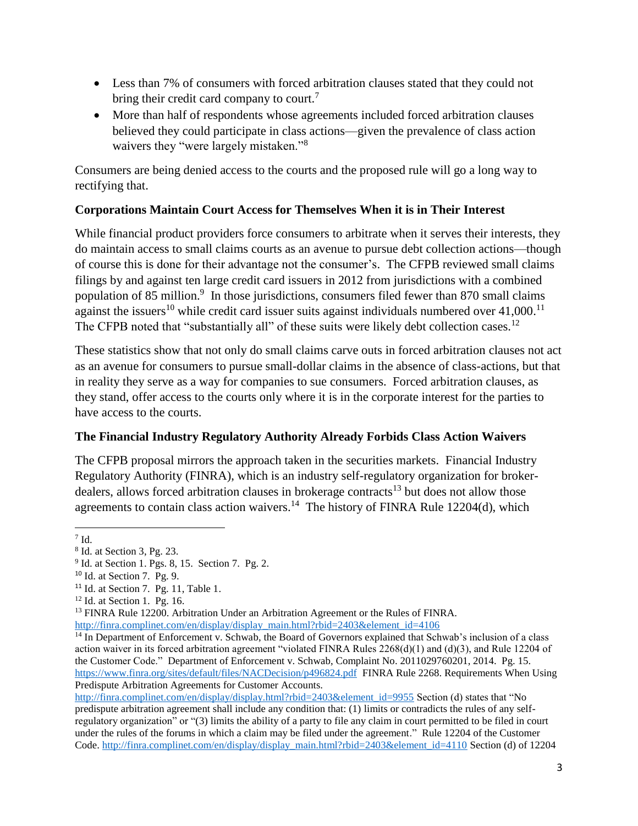- Less than 7% of consumers with forced arbitration clauses stated that they could not bring their credit card company to court.<sup>7</sup>
- More than half of respondents whose agreements included forced arbitration clauses believed they could participate in class actions—given the prevalence of class action waivers they "were largely mistaken."<sup>8</sup>

Consumers are being denied access to the courts and the proposed rule will go a long way to rectifying that.

## **Corporations Maintain Court Access for Themselves When it is in Their Interest**

While financial product providers force consumers to arbitrate when it serves their interests, they do maintain access to small claims courts as an avenue to pursue debt collection actions—though of course this is done for their advantage not the consumer's. The CFPB reviewed small claims filings by and against ten large credit card issuers in 2012 from jurisdictions with a combined population of 85 million.<sup>9</sup> In those jurisdictions, consumers filed fewer than 870 small claims against the issuers<sup>10</sup> while credit card issuer suits against individuals numbered over  $41,000$ .<sup>11</sup> The CFPB noted that "substantially all" of these suits were likely debt collection cases.<sup>12</sup>

These statistics show that not only do small claims carve outs in forced arbitration clauses not act as an avenue for consumers to pursue small-dollar claims in the absence of class-actions, but that in reality they serve as a way for companies to sue consumers. Forced arbitration clauses, as they stand, offer access to the courts only where it is in the corporate interest for the parties to have access to the courts.

## **The Financial Industry Regulatory Authority Already Forbids Class Action Waivers**

The CFPB proposal mirrors the approach taken in the securities markets. Financial Industry Regulatory Authority (FINRA), which is an industry self-regulatory organization for brokerdealers, allows forced arbitration clauses in brokerage contracts<sup>13</sup> but does not allow those agreements to contain class action waivers.<sup>14</sup> The history of FINRA Rule 12204(d), which

l  $7$  Id.

<sup>8</sup> Id. at Section 3, Pg. 23.

<sup>&</sup>lt;sup>9</sup> Id. at Section 1. Pgs. 8, 15. Section 7. Pg. 2.

<sup>10</sup> Id. at Section 7. Pg. 9.

 $11$  Id. at Section 7. Pg. 11, Table 1.

<sup>12</sup> Id. at Section 1. Pg. 16.

<sup>&</sup>lt;sup>13</sup> FINRA Rule 12200. Arbitration Under an Arbitration Agreement or the Rules of FINRA. [http://finra.complinet.com/en/display/display\\_main.html?rbid=2403&element\\_id=4106](http://finra.complinet.com/en/display/display_main.html?rbid=2403&element_id=4106)

<sup>&</sup>lt;sup>14</sup> In Department of Enforcement v. Schwab, the Board of Governors explained that Schwab's inclusion of a class action waiver in its forced arbitration agreement "violated FINRA Rules 2268(d)(1) and (d)(3), and Rule 12204 of the Customer Code." Department of Enforcement v. Schwab, Complaint No. 2011029760201, 2014. Pg. 15. <https://www.finra.org/sites/default/files/NACDecision/p496824.pdf>FINRA Rule 2268. Requirements When Using Predispute Arbitration Agreements for Customer Accounts.

[http://finra.complinet.com/en/display/display.html?rbid=2403&element\\_id=9955](http://finra.complinet.com/en/display/display.html?rbid=2403&element_id=9955) Section (d) states that "No predispute arbitration agreement shall include any condition that: (1) limits or contradicts the rules of any selfregulatory organization" or "(3) limits the ability of a party to file any claim in court permitted to be filed in court under the rules of the forums in which a claim may be filed under the agreement." Rule 12204 of the Customer Code. [http://finra.complinet.com/en/display/display\\_main.html?rbid=2403&element\\_id=4110](http://finra.complinet.com/en/display/display_main.html?rbid=2403&element_id=4110) Section (d) of 12204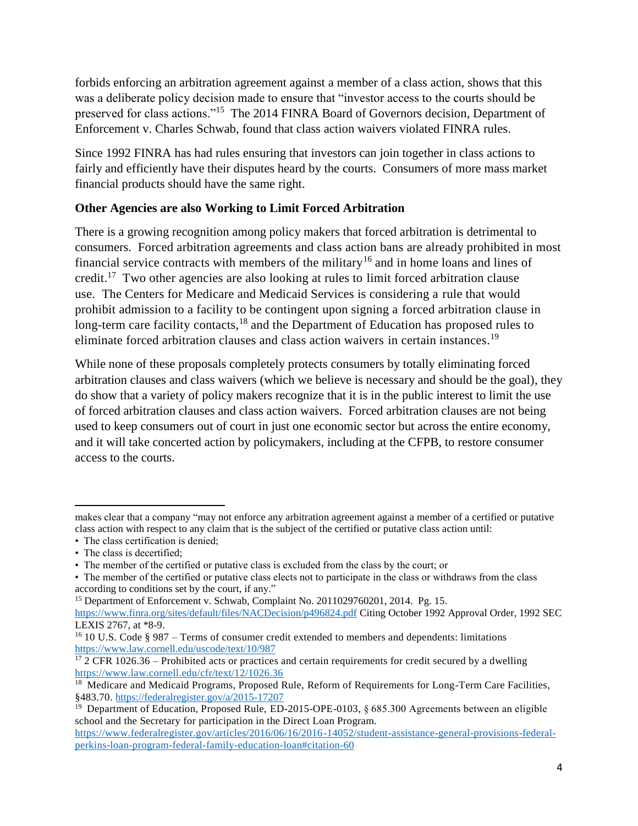forbids enforcing an arbitration agreement against a member of a class action, shows that this was a deliberate policy decision made to ensure that "investor access to the courts should be preserved for class actions."<sup>15</sup> The 2014 FINRA Board of Governors decision, Department of Enforcement v. Charles Schwab, found that class action waivers violated FINRA rules.

Since 1992 FINRA has had rules ensuring that investors can join together in class actions to fairly and efficiently have their disputes heard by the courts. Consumers of more mass market financial products should have the same right.

#### **Other Agencies are also Working to Limit Forced Arbitration**

There is a growing recognition among policy makers that forced arbitration is detrimental to consumers. Forced arbitration agreements and class action bans are already prohibited in most financial service contracts with members of the military<sup>16</sup> and in home loans and lines of credit.<sup>17</sup> Two other agencies are also looking at rules to limit forced arbitration clause use. The Centers for Medicare and Medicaid Services is considering a rule that would prohibit admission to a facility to be contingent upon signing a forced arbitration clause in long-term care facility contacts,<sup>18</sup> and the Department of Education has proposed rules to eliminate forced arbitration clauses and class action waivers in certain instances.<sup>19</sup>

While none of these proposals completely protects consumers by totally eliminating forced arbitration clauses and class waivers (which we believe is necessary and should be the goal), they do show that a variety of policy makers recognize that it is in the public interest to limit the use of forced arbitration clauses and class action waivers. Forced arbitration clauses are not being used to keep consumers out of court in just one economic sector but across the entire economy, and it will take concerted action by policymakers, including at the CFPB, to restore consumer access to the courts.

 $\overline{a}$ 

makes clear that a company "may not enforce any arbitration agreement against a member of a certified or putative class action with respect to any claim that is the subject of the certified or putative class action until:

<sup>•</sup> The class certification is denied:

<sup>•</sup> The class is decertified;

<sup>•</sup> The member of the certified or putative class is excluded from the class by the court; or

<sup>•</sup> The member of the certified or putative class elects not to participate in the class or withdraws from the class according to conditions set by the court, if any."

<sup>&</sup>lt;sup>15</sup> Department of Enforcement v. Schwab, Complaint No. 2011029760201, 2014. Pg. 15.

<https://www.finra.org/sites/default/files/NACDecision/p496824.pdf> Citing October 1992 Approval Order, 1992 SEC LEXIS 2767, at \*8-9.

<sup>&</sup>lt;sup>16</sup> 10 U.S. Code § 987 – Terms of consumer credit extended to members and dependents: limitations <https://www.law.cornell.edu/uscode/text/10/987>

 $\frac{17}{2}$  CFR 1026.36 – Prohibited acts or practices and certain requirements for credit secured by a dwelling <https://www.law.cornell.edu/cfr/text/12/1026.36>

<sup>&</sup>lt;sup>18</sup> Medicare and Medicaid Programs, Proposed Rule, Reform of Requirements for Long-Term Care Facilities, §483.70. <https://federalregister.gov/a/2015-17207>

<sup>&</sup>lt;sup>19</sup> Department of Education, Proposed Rule, ED-2015-OPE-0103, § 685.300 Agreements between an eligible school and the Secretary for participation in the Direct Loan Program.

[https://www.federalregister.gov/articles/2016/06/16/2016-14052/student-assistance-general-provisions-federal](https://www.federalregister.gov/articles/2016/06/16/2016-14052/student-assistance-general-provisions-federal-perkins-loan-program-federal-family-education-loan#citation-60)[perkins-loan-program-federal-family-education-loan#citation-60](https://www.federalregister.gov/articles/2016/06/16/2016-14052/student-assistance-general-provisions-federal-perkins-loan-program-federal-family-education-loan#citation-60)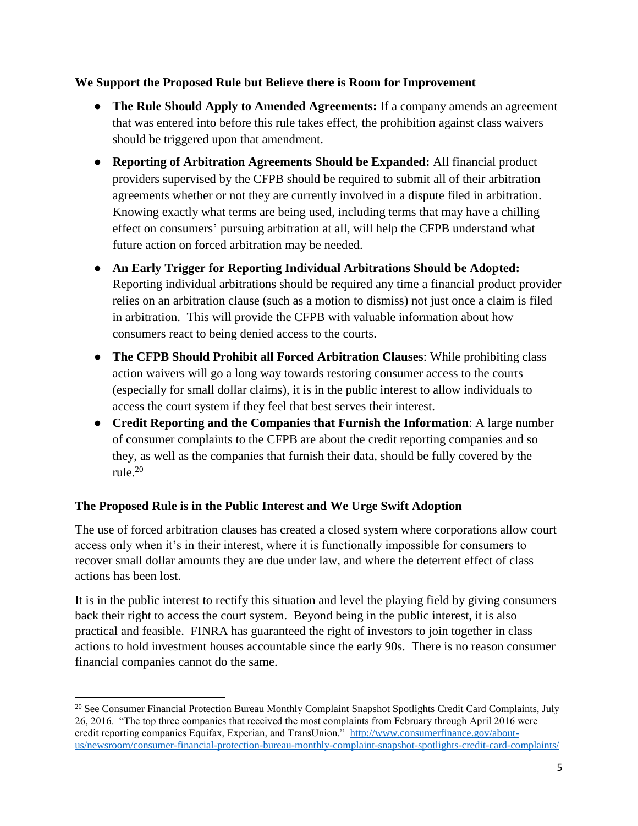#### **We Support the Proposed Rule but Believe there is Room for Improvement**

- **The Rule Should Apply to Amended Agreements:** If a company amends an agreement that was entered into before this rule takes effect, the prohibition against class waivers should be triggered upon that amendment.
- **Reporting of Arbitration Agreements Should be Expanded:** All financial product providers supervised by the CFPB should be required to submit all of their arbitration agreements whether or not they are currently involved in a dispute filed in arbitration. Knowing exactly what terms are being used, including terms that may have a chilling effect on consumers' pursuing arbitration at all, will help the CFPB understand what future action on forced arbitration may be needed.
- **An Early Trigger for Reporting Individual Arbitrations Should be Adopted:** Reporting individual arbitrations should be required any time a financial product provider relies on an arbitration clause (such as a motion to dismiss) not just once a claim is filed in arbitration. This will provide the CFPB with valuable information about how consumers react to being denied access to the courts.
- **The CFPB Should Prohibit all Forced Arbitration Clauses**: While prohibiting class action waivers will go a long way towards restoring consumer access to the courts (especially for small dollar claims), it is in the public interest to allow individuals to access the court system if they feel that best serves their interest.
- **Credit Reporting and the Companies that Furnish the Information**: A large number of consumer complaints to the CFPB are about the credit reporting companies and so they, as well as the companies that furnish their data, should be fully covered by the rule.<sup>20</sup>

## **The Proposed Rule is in the Public Interest and We Urge Swift Adoption**

 $\overline{\phantom{a}}$ 

The use of forced arbitration clauses has created a closed system where corporations allow court access only when it's in their interest, where it is functionally impossible for consumers to recover small dollar amounts they are due under law, and where the deterrent effect of class actions has been lost.

It is in the public interest to rectify this situation and level the playing field by giving consumers back their right to access the court system. Beyond being in the public interest, it is also practical and feasible. FINRA has guaranteed the right of investors to join together in class actions to hold investment houses accountable since the early 90s. There is no reason consumer financial companies cannot do the same.

<sup>&</sup>lt;sup>20</sup> See Consumer Financial Protection Bureau Monthly Complaint Snapshot Spotlights Credit Card Complaints, July 26, 2016. "The top three companies that received the most complaints from February through April 2016 were credit reporting companies Equifax, Experian, and TransUnion." [http://www.consumerfinance.gov/about](http://www.consumerfinance.gov/about-us/newsroom/consumer-financial-protection-bureau-monthly-complaint-snapshot-spotlights-credit-card-complaints/)[us/newsroom/consumer-financial-protection-bureau-monthly-complaint-snapshot-spotlights-credit-card-complaints/](http://www.consumerfinance.gov/about-us/newsroom/consumer-financial-protection-bureau-monthly-complaint-snapshot-spotlights-credit-card-complaints/)